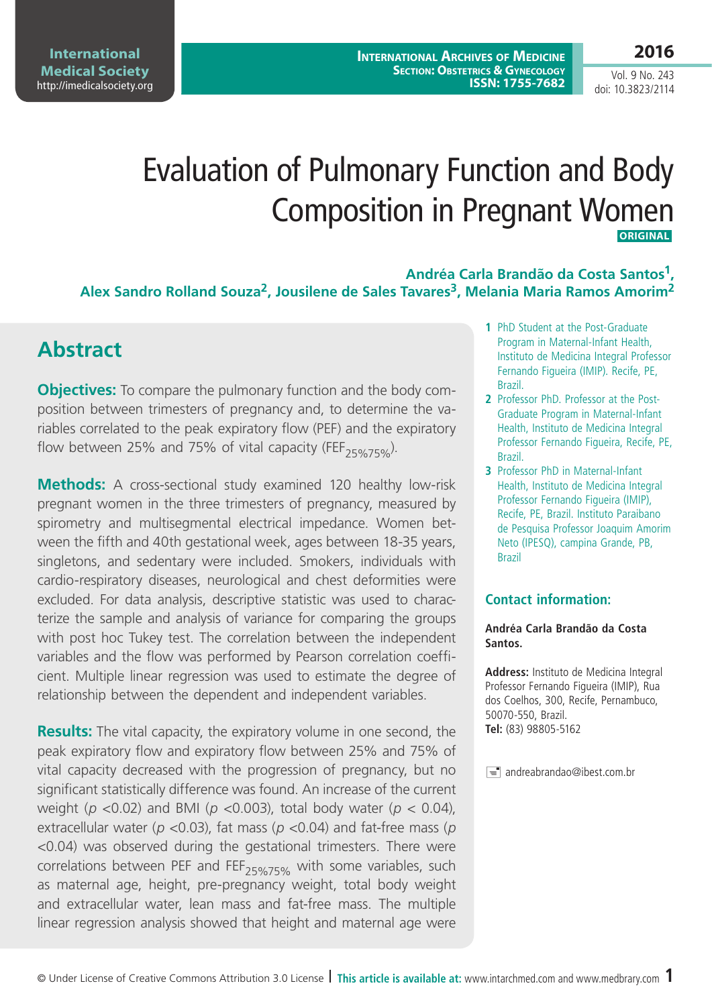**International Medical Society**  http://imedicalsociety.org

**International Archives of Medicine SECTION: OBSTETRICS & GYNECOLOGY ISSN: 1755-7682**

Vol. 9 No. 243 doi: 10.3823/2114

# Evaluation of Pulmonary Function and Body Composition in Pregnant Women  **ORIGINAL**

**Andréa Carla Brandão da Costa Santos1,**  Alex Sandro Rolland Souza<sup>2</sup>, Jousilene de Sales Tavares<sup>3</sup>, Melania Maria Ramos Amorim<sup>2</sup>

### **Abstract**

**Objectives:** To compare the pulmonary function and the body composition between trimesters of pregnancy and, to determine the variables correlated to the peak expiratory flow (PEF) and the expiratory flow between 25% and 75% of vital capacity (FEF<sub>25%75%</sub>).

**Methods:** A cross-sectional study examined 120 healthy low-risk pregnant women in the three trimesters of pregnancy, measured by spirometry and multisegmental electrical impedance. Women between the fifth and 40th gestational week, ages between 18-35 years, singletons, and sedentary were included. Smokers, individuals with cardio-respiratory diseases, neurological and chest deformities were excluded. For data analysis, descriptive statistic was used to characterize the sample and analysis of variance for comparing the groups with post hoc Tukey test. The correlation between the independent variables and the flow was performed by Pearson correlation coefficient. Multiple linear regression was used to estimate the degree of relationship between the dependent and independent variables.

**Results:** The vital capacity, the expiratory volume in one second, the peak expiratory flow and expiratory flow between 25% and 75% of vital capacity decreased with the progression of pregnancy, but no significant statistically difference was found. An increase of the current weight (*p* <0.02) and BMI (*p* <0.003), total body water (*p* < 0.04), extracellular water (*p <*0.03), fat mass (*p <*0.04) and fat-free mass (*p <*0.04) was observed during the gestational trimesters. There were correlations between PEF and FEF<sub>25%75%</sub> with some variables, such as maternal age, height, pre-pregnancy weight, total body weight and extracellular water, lean mass and fat-free mass. The multiple linear regression analysis showed that height and maternal age were

- **1** PhD Student at the Post-Graduate Program in Maternal-Infant Health, Instituto de Medicina Integral Professor Fernando Figueira (IMIP). Recife, PE, Brazil.
- **2** Professor PhD. Professor at the Post-Graduate Program in Maternal-Infant Health, Instituto de Medicina Integral Professor Fernando Figueira, Recife, PE, Brazil.
- **3** Professor PhD in Maternal-Infant Health, Instituto de Medicina Integral Professor Fernando Figueira (IMIP), Recife, PE, Brazil. Instituto Paraibano de Pesquisa Professor Joaquim Amorim Neto (IPESQ), campina Grande, PB, Brazil

### **Contact information:**

#### **Andréa Carla Brandão da Costa Santos.**

**Address:** Instituto de Medicina Integral Professor Fernando Figueira (IMIP), Rua dos Coelhos, 300, Recife, Pernambuco, 50070-550, Brazil. **Tel:** (83) 98805-5162

 $\equiv$  andreabrandao@ibest.com.br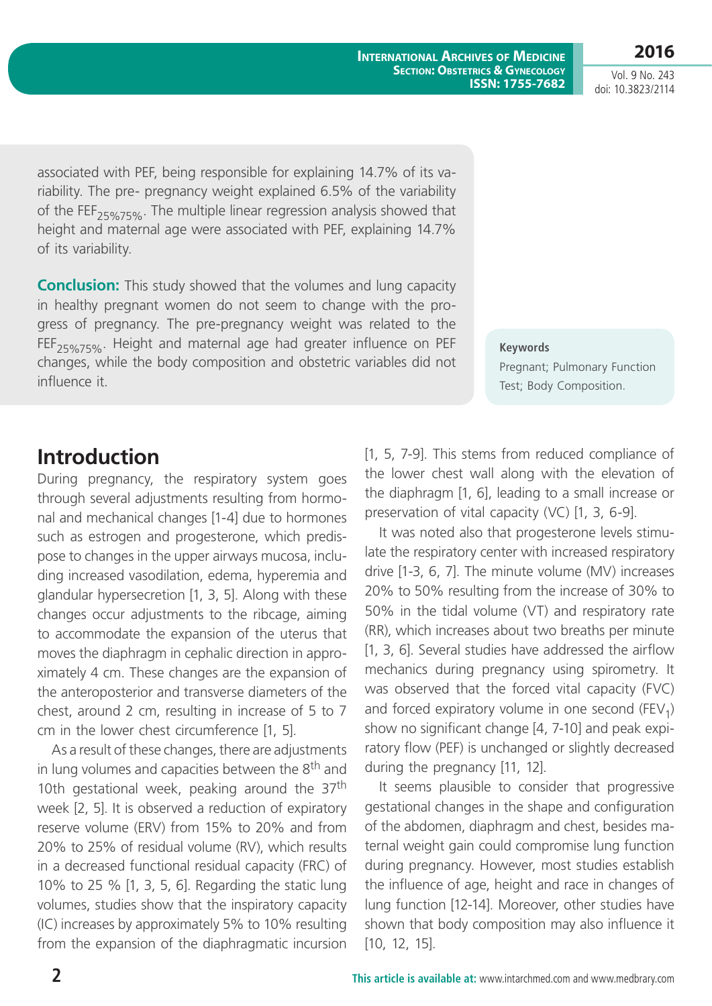**International Archives of Medicine SECTION: OBSTETRICS & GYNECOLOGY ISSN: 1755-7682**

Vol. 9 No. 243 doi: 10.3823/2114

**2016**

associated with PEF, being responsible for explaining 14.7% of its variability. The pre- pregnancy weight explained 6.5% of the variability of the FEF<sub>25%75%</sub>. The multiple linear regression analysis showed that height and maternal age were associated with PEF, explaining 14.7% of its variability.

**Conclusion:** This study showed that the volumes and lung capacity in healthy pregnant women do not seem to change with the progress of pregnancy. The pre-pregnancy weight was related to the  $FEF_{25\%75\%}$ . Height and maternal age had greater influence on PEF changes, while the body composition and obstetric variables did not influence it.

**Keywords** Pregnant; Pulmonary Function Test; Body Composition.

### **Introduction**

During pregnancy, the respiratory system goes through several adjustments resulting from hormonal and mechanical changes [1-4] due to hormones such as estrogen and progesterone, which predispose to changes in the upper airways mucosa, including increased vasodilation, edema, hyperemia and glandular hypersecretion [1, 3, 5]. Along with these changes occur adjustments to the ribcage, aiming to accommodate the expansion of the uterus that moves the diaphragm in cephalic direction in approximately 4 cm. These changes are the expansion of the anteroposterior and transverse diameters of the chest, around 2 cm, resulting in increase of 5 to 7 cm in the lower chest circumference [1, 5].

As a result of these changes, there are adjustments in lung volumes and capacities between the 8<sup>th</sup> and 10th gestational week, peaking around the  $37<sup>th</sup>$ week [2, 5]. It is observed a reduction of expiratory reserve volume (ERV) from 15% to 20% and from 20% to 25% of residual volume (RV), which results in a decreased functional residual capacity (FRC) of 10% to 25 % [1, 3, 5, 6]. Regarding the static lung volumes, studies show that the inspiratory capacity (IC) increases by approximately 5% to 10% resulting from the expansion of the diaphragmatic incursion [1, 5, 7-9]. This stems from reduced compliance of the lower chest wall along with the elevation of the diaphragm [1, 6], leading to a small increase or preservation of vital capacity (VC) [1, 3, 6-9].

It was noted also that progesterone levels stimulate the respiratory center with increased respiratory drive [1-3, 6, 7]. The minute volume (MV) increases 20% to 50% resulting from the increase of 30% to 50% in the tidal volume (VT) and respiratory rate (RR), which increases about two breaths per minute [1, 3, 6]. Several studies have addressed the airflow mechanics during pregnancy using spirometry. It was observed that the forced vital capacity (FVC) and forced expiratory volume in one second (FEV<sub>1</sub>) show no significant change [4, 7-10] and peak expiratory flow (PEF) is unchanged or slightly decreased during the pregnancy [11, 12].

It seems plausible to consider that progressive gestational changes in the shape and configuration of the abdomen, diaphragm and chest, besides maternal weight gain could compromise lung function during pregnancy. However, most studies establish the influence of age, height and race in changes of lung function [12-14]. Moreover, other studies have shown that body composition may also influence it [10, 12, 15].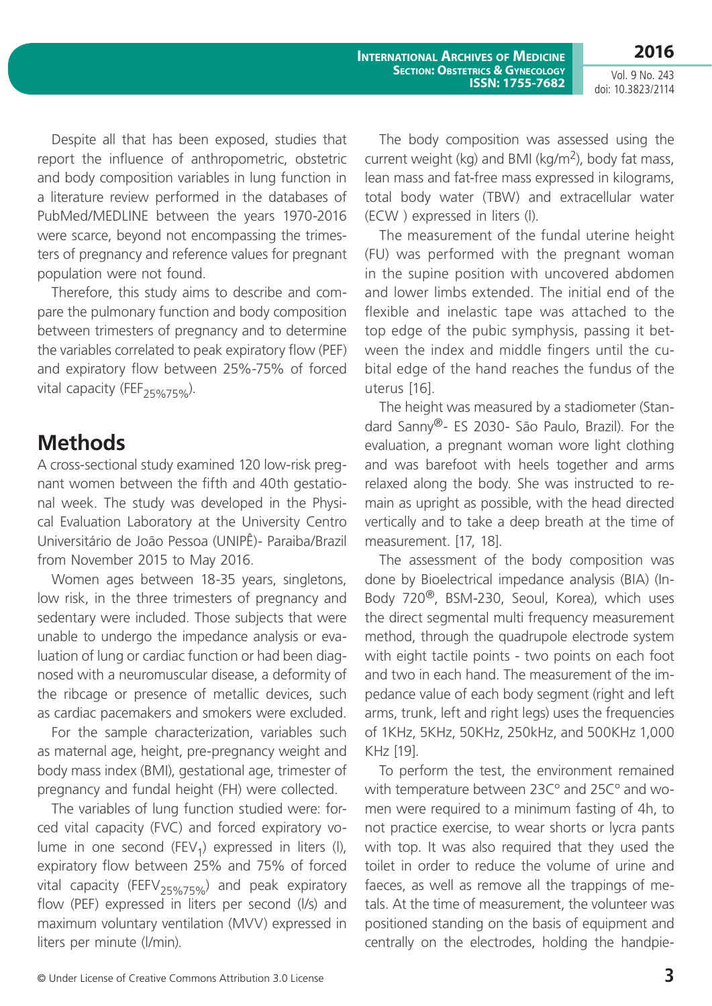Despite all that has been exposed, studies that report the influence of anthropometric, obstetric and body composition variables in lung function in a literature review performed in the databases of PubMed/MEDLINE between the years 1970-2016 were scarce, beyond not encompassing the trimesters of pregnancy and reference values for pregnant population were not found.

Therefore, this study aims to describe and compare the pulmonary function and body composition between trimesters of pregnancy and to determine the variables correlated to peak expiratory flow (PEF) and expiratory flow between 25%-75% of forced vital capacity (FEF<sub>25%75%</sub>).

### **Methods**

A cross-sectional study examined 120 low-risk pregnant women between the fifth and 40th gestational week. The study was developed in the Physical Evaluation Laboratory at the University Centro Universitário de João Pessoa (UNIPÊ)- Paraiba/Brazil from November 2015 to May 2016.

Women ages between 18-35 years, singletons, low risk, in the three trimesters of pregnancy and sedentary were included. Those subjects that were unable to undergo the impedance analysis or evaluation of lung or cardiac function or had been diagnosed with a neuromuscular disease, a deformity of the ribcage or presence of metallic devices, such as cardiac pacemakers and smokers were excluded.

For the sample characterization, variables such as maternal age, height, pre-pregnancy weight and body mass index (BMI), gestational age, trimester of pregnancy and fundal height (FH) were collected.

The variables of lung function studied were: forced vital capacity (FVC) and forced expiratory volume in one second (FEV<sub>1</sub>) expressed in liters (I), expiratory flow between 25% and 75% of forced vital capacity (FEFV<sub>25%75%</sub>) and peak expiratory flow (PEF) expressed in liters per second (l/s) and maximum voluntary ventilation (MVV) expressed in liters per minute (l/min).

The body composition was assessed using the current weight (kg) and BMI (kg/m<sup>2</sup>), body fat mass, lean mass and fat-free mass expressed in kilograms, total body water (TBW) and extracellular water (ECW ) expressed in liters (l).

The measurement of the fundal uterine height (FU) was performed with the pregnant woman in the supine position with uncovered abdomen and lower limbs extended. The initial end of the flexible and inelastic tape was attached to the top edge of the pubic symphysis, passing it between the index and middle fingers until the cubital edge of the hand reaches the fundus of the uterus [16].

The height was measured by a stadiometer (Standard Sanny®- ES 2030- São Paulo, Brazil). For the evaluation, a pregnant woman wore light clothing and was barefoot with heels together and arms relaxed along the body. She was instructed to remain as upright as possible, with the head directed vertically and to take a deep breath at the time of measurement. [17, 18].

The assessment of the body composition was done by Bioelectrical impedance analysis (BIA) (In-Body 720®, BSM-230, Seoul, Korea), which uses the direct segmental multi frequency measurement method, through the quadrupole electrode system with eight tactile points - two points on each foot and two in each hand. The measurement of the impedance value of each body segment (right and left arms, trunk, left and right legs) uses the frequencies of 1KHz, 5KHz, 50KHz, 250kHz, and 500KHz 1,000 KHz [19].

To perform the test, the environment remained with temperature between 23Cº and 25Cº and women were required to a minimum fasting of 4h, to not practice exercise, to wear shorts or lycra pants with top. It was also required that they used the toilet in order to reduce the volume of urine and faeces, as well as remove all the trappings of metals. At the time of measurement, the volunteer was positioned standing on the basis of equipment and centrally on the electrodes, holding the handpie-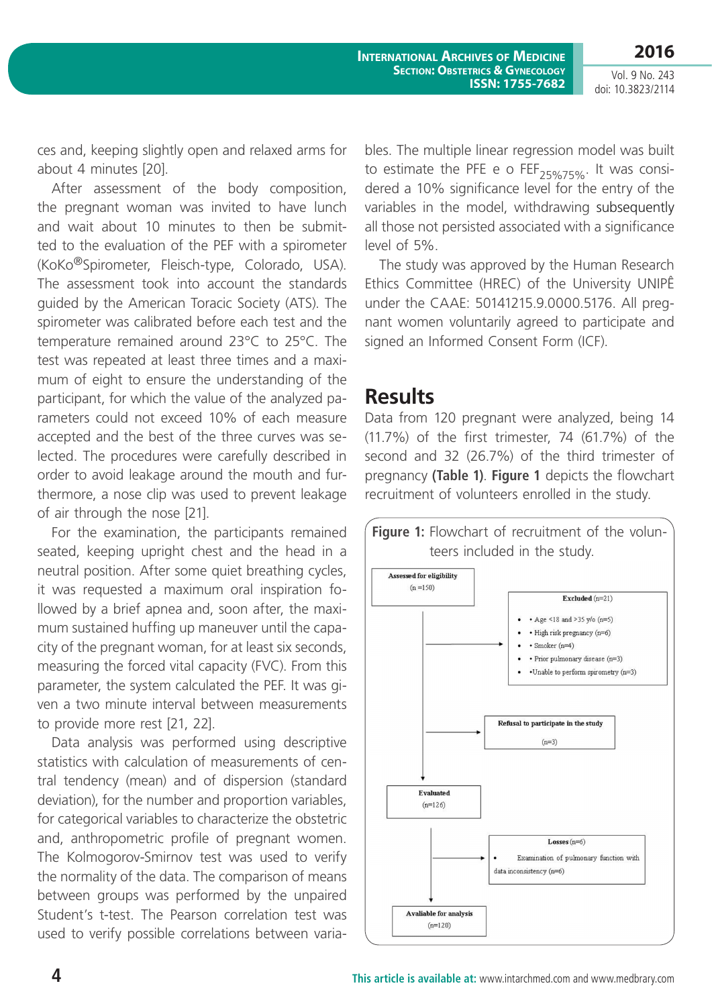ces and, keeping slightly open and relaxed arms for about 4 minutes [20].

After assessment of the body composition, the pregnant woman was invited to have lunch and wait about 10 minutes to then be submitted to the evaluation of the PEF with a spirometer (KoKo®Spirometer, Fleisch-type, Colorado, USA). The assessment took into account the standards guided by the American Toracic Society (ATS). The spirometer was calibrated before each test and the temperature remained around 23°C to 25°C. The test was repeated at least three times and a maximum of eight to ensure the understanding of the participant, for which the value of the analyzed parameters could not exceed 10% of each measure accepted and the best of the three curves was selected. The procedures were carefully described in order to avoid leakage around the mouth and furthermore, a nose clip was used to prevent leakage of air through the nose [21].

For the examination, the participants remained seated, keeping upright chest and the head in a neutral position. After some quiet breathing cycles, it was requested a maximum oral inspiration followed by a brief apnea and, soon after, the maximum sustained huffing up maneuver until the capacity of the pregnant woman, for at least six seconds, measuring the forced vital capacity (FVC). From this parameter, the system calculated the PEF. It was given a two minute interval between measurements to provide more rest [21, 22].

Data analysis was performed using descriptive statistics with calculation of measurements of central tendency (mean) and of dispersion (standard deviation), for the number and proportion variables, for categorical variables to characterize the obstetric and, anthropometric profile of pregnant women. The Kolmogorov-Smirnov test was used to verify the normality of the data. The comparison of means between groups was performed by the unpaired Student's t-test. The Pearson correlation test was used to verify possible correlations between varia-

bles. The multiple linear regression model was built to estimate the PFE e o FEF<sub>25%75%</sub>. It was considered a 10% significance level for the entry of the variables in the model, withdrawing subsequently all those not persisted associated with a significance level of 5%.

The study was approved by the Human Research Ethics Committee (HREC) of the University UNIPÊ under the CAAE: 50141215.9.0000.5176. All pregnant women voluntarily agreed to participate and signed an Informed Consent Form (ICF).

### **Results**

Data from 120 pregnant were analyzed, being 14 (11.7%) of the first trimester, 74 (61.7%) of the second and 32 (26.7%) of the third trimester of pregnancy **(Table 1)**. **Figure 1** depicts the flowchart recruitment of volunteers enrolled in the study.

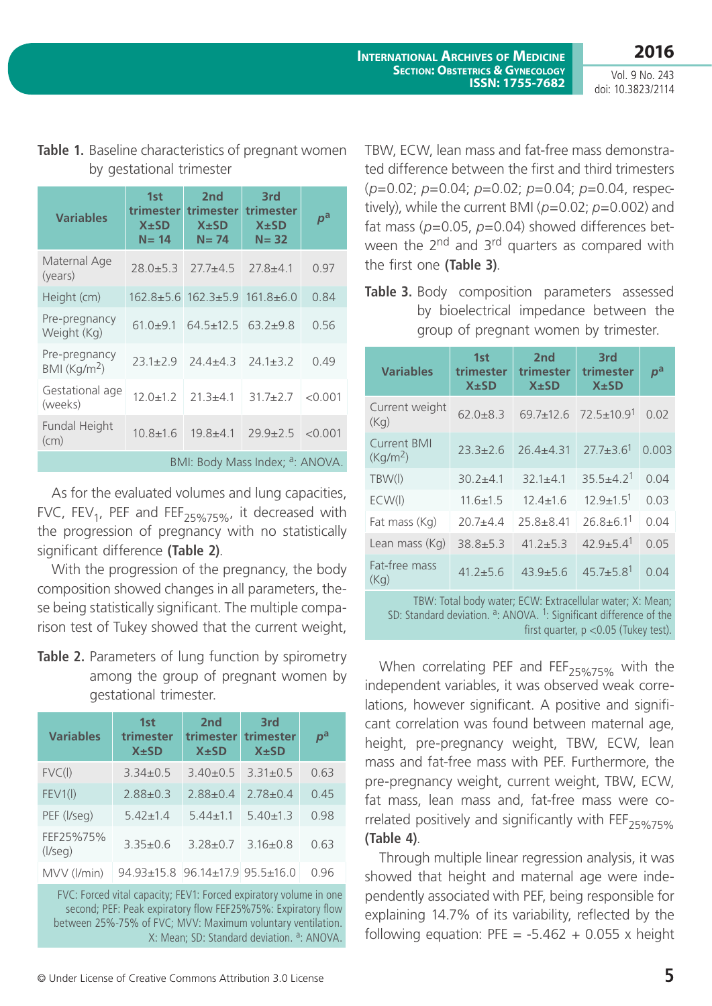| <b>Variables</b>                            | 1st<br><b>trimester</b><br>$X \pm SD$<br>$N = 14$ | 2 <sub>nd</sub><br>trimester<br>$X \pm SD$<br>$N = 74$ | 3rd<br>trimester<br>$X \pm SD$<br>$N = 32$ | $p^{\rm a}$ |
|---------------------------------------------|---------------------------------------------------|--------------------------------------------------------|--------------------------------------------|-------------|
| Maternal Age<br>(years)                     | $28.0 + 5.3$                                      | $27.7 + 4.5$                                           | $27.8 + 4.1$                               | 0.97        |
| Height (cm)                                 |                                                   | 162.8±5.6 162.3±5.9 161.8±6.0                          |                                            | 0.84        |
| Pre-pregnancy<br>Weight (Kg)                | $61.0 + 9.1$                                      | $64.5 \pm 12.5$ $63.2 \pm 9.8$                         |                                            | 0.56        |
| Pre-pregnancy<br>BMI (Kq/m <sup>2</sup> )   | $23.1 + 2.9$                                      | $24.4 + 4.3$                                           | $24.1 \pm 3.2$                             | 0.49        |
| Gestational age<br>(weeks)                  | $12.0 \pm 1.2$                                    | $21.3 + 4.1$                                           | $31.7 + 2.7$                               | < 0.001     |
| Fundal Height<br>(cm)                       | $10.8 + 1.6$                                      | $19.8 + 4.1$                                           | $29.9 \pm 2.5$                             | < 0.001     |
| BMI: Body Mass Index; <sup>a</sup> : ANOVA. |                                                   |                                                        |                                            |             |

### **Table 1.** Baseline characteristics of pregnant women by gestational trimester

As for the evaluated volumes and lung capacities, FVC,  $FEV_1$ , PEF and  $FEF_{25\%75\%}$ , it decreased with the progression of pregnancy with no statistically significant difference **(Table 2)**.

With the progression of the pregnancy, the body composition showed changes in all parameters, these being statistically significant. The multiple comparison test of Tukey showed that the current weight,

**Table 2.** Parameters of lung function by spirometry among the group of pregnant women by gestational trimester.

| <b>Variables</b>          | 1st<br>trimester<br>$X \pm SD$        | 2 <sub>nd</sub><br>trimester<br>$X \pm SD$ | 3rd<br>trimester<br>$X \pm SD$ | $\bm{\rho}$ a |
|---------------------------|---------------------------------------|--------------------------------------------|--------------------------------|---------------|
| FVC(1)                    | $3.34 + 0.5$                          | $3.40 + 0.5$                               | $3.31 + 0.5$                   | 0.63          |
| FEV1(1)                   | $2.88 \pm 0.3$                        | $2.88 + 0.4$                               | $2.78 + 0.4$                   | 0.45          |
| PEF (I/seg)               | $5.42 + 1.4$                          | $5.44 + 1.1$                               | $5.40 + 1.3$                   | 0.98          |
| FEF25%75%<br>$($ /seg $)$ | $3.35 + 0.6$                          | $3.28 + 0.7$                               | $3.16 + 0.8$                   | 0.63          |
| MVV (I/min)               | 94 93 + 15 8 96 14 + 17 9 95 5 + 16 0 |                                            |                                | N 96          |

FVC: Forced vital capacity; FEV1: Forced expiratory volume in one second; PEF: Peak expiratory flow FEF25%75%: Expiratory flow between 25%-75% of FVC; MVV: Maximum voluntary ventilation. X: Mean; SD: Standard deviation. <sup>a</sup>: ANOVA.

TBW, ECW, lean mass and fat-free mass demonstrated difference between the first and third trimesters (*p*=0.02; *p*=0.04; *p*=0.02; *p*=0.04; *p*=0.04, respectively), while the current BMI (*p*=0.02; *p*=0.002) and fat mass (*p*=0.05, *p*=0.04) showed differences between the 2<sup>nd</sup> and 3<sup>rd</sup> quarters as compared with the first one **(Table 3)**.

**Table 3.** Body composition parameters assessed by bioelectrical impedance between the group of pregnant women by trimester.

| <b>Variables</b>                           | 1st<br>trimester<br>$X \pm SD$ | 2 <sub>nd</sub><br>trimester<br>$X \pm SD$ | 3rd<br>trimester<br>$X \pm SD$ | $\bm{\rho}^{\mathsf{a}}$ |
|--------------------------------------------|--------------------------------|--------------------------------------------|--------------------------------|--------------------------|
| Current weight<br>(Kq)                     | $62.0 + 8.3$                   | $69.7 + 12.6$                              | $72.5 \pm 10.9$ <sup>1</sup>   | 0.02                     |
| <b>Current BMI</b><br>(Kq/m <sup>2</sup> ) | $23.3 + 2.6$                   | $26.4 + 4.31$                              | $27.7 \pm 3.6$ <sup>1</sup>    | 0.003                    |
| TBW(I)                                     | $30.2 + 4.1$                   | $32.1 + 4.1$                               | $355+42$                       | 0.04                     |
| ECW(I)                                     | $11.6 \pm 1.5$                 | $12.4 + 1.6$                               | $12.9 \pm 1.5$ <sup>1</sup>    | 0.03                     |
| Fat mass (Kg)                              | $20.7 + 4.4$                   | $25.8 + 8.41$                              | $26.8 \pm 6.1$ <sup>1</sup>    | 0.04                     |
| Lean mass (Kg)                             | $38.8 + 5.3$                   | $41.2 + 5.3$                               | $42.9 \pm 5.4$ <sup>1</sup>    | 0.05                     |
| Fat-free mass<br>(Kq)                      | $41.2 \pm 5.6$                 | $43.9 + 5.6$                               | $45.7 \pm 5.8$ <sup>1</sup>    | 0.04                     |

TBW: Total body water; ECW: Extracellular water; X: Mean; SD: Standard deviation. <sup>a</sup>: ANOVA. <sup>1</sup>: Significant difference of the first quarter,  $p < 0.05$  (Tukey test).

When correlating PEF and  $FEF_{25\%75\%}$  with the independent variables, it was observed weak correlations, however significant. A positive and significant correlation was found between maternal age, height, pre-pregnancy weight, TBW, ECW, lean mass and fat-free mass with PEF. Furthermore, the pre-pregnancy weight, current weight, TBW, ECW, fat mass, lean mass and, fat-free mass were correlated positively and significantly with FEF<sub>25%75%</sub> **(Table 4)**.

Through multiple linear regression analysis, it was showed that height and maternal age were independently associated with PEF, being responsible for explaining 14.7% of its variability, reflected by the following equation: PFE =  $-5.462 + 0.055$  x height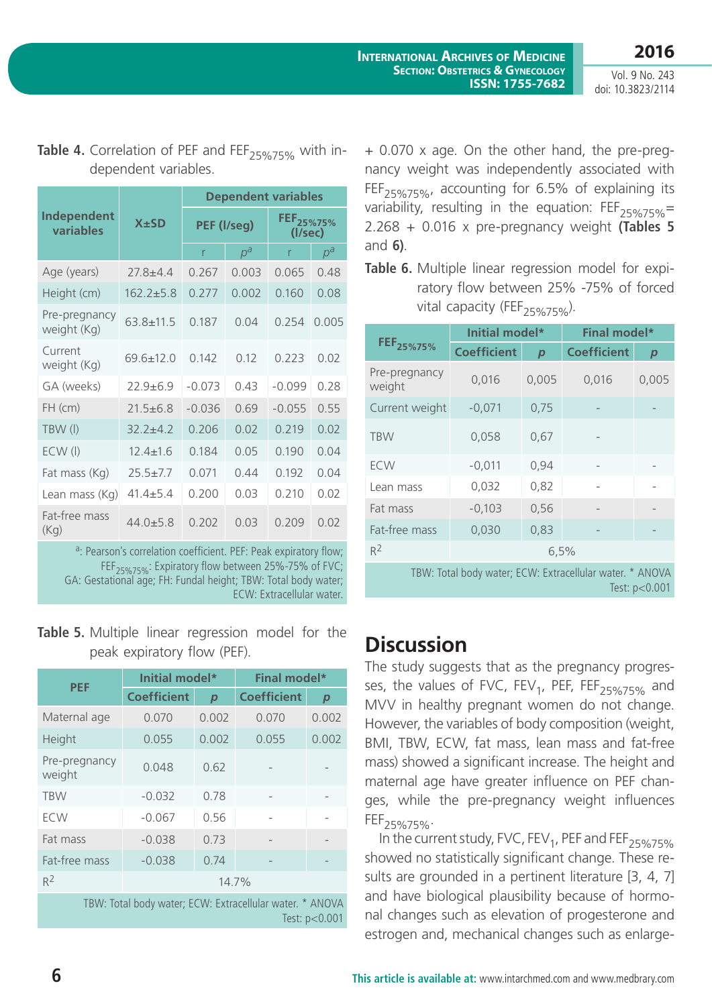|                              |                 | <b>Dependent variables</b> |       |                                  |       |
|------------------------------|-----------------|----------------------------|-------|----------------------------------|-------|
| Independent<br>variables     | $X \pm SD$      | PEF (I/seg)                |       | FEF <sub>25%75%</sub><br>(l/sec) |       |
|                              |                 | r                          | $p^a$ | r                                | $p^a$ |
| Age (years)                  | $27.8 + 4.4$    | 0.267                      | 0.003 | 0.065                            | 0.48  |
| Height (cm)                  | $162.2 + 5.8$   | 0.277                      | 0.002 | 0.160                            | 0.08  |
| Pre-pregnancy<br>weight (Kg) | $63.8 + 11.5$   | 0.187                      | 0.04  | 0.254                            | 0.005 |
| Current<br>weight (Kg)       | $69.6 \pm 12.0$ | 0.142                      | 0.12  | 0.223                            | 0.02  |
| GA (weeks)                   | $22.9 + 6.9$    | $-0.073$                   | 0.43  | $-0.099$                         | 0.28  |
| FH (cm)                      | $21.5 + 6.8$    | $-0.036$                   | 0.69  | $-0.055$                         | 0.55  |
| TBW (I)                      | $32.2 + 4.2$    | 0.206                      | 0.02  | 0.219                            | 0.02  |
| $ECW$ (I)                    | $12.4 \pm 1.6$  | 0.184                      | 0.05  | 0.190                            | 0.04  |
| Fat mass (Kg)                | $25.5 + 7.7$    | 0.071                      | 0.44  | 0.192                            | 0.04  |
| Lean mass (Kg)               | $41.4 + 5.4$    | 0.200                      | 0.03  | 0.210                            | 0.02  |
| Fat-free mass<br>(Kq)        | $44.0 + 5.8$    | 0.202                      | 0.03  | 0.209                            | 0.02  |

Table 4. Correlation of PEF and FEF<sub>25%75%</sub> with independent variables.

a: Pearson's correlation coefficient. PEF: Peak expiratory flow; FEF<sub>25%75%</sub>: Expiratory flow between 25%-75% of FVC; GA: Gestational age; FH: Fundal height; TBW: Total body water; ECW: Extracellular water.

### **Table 5.** Multiple linear regression model for the peak expiratory flow (PEF).

| <b>PEF</b>                                                                  | Initial model*     |                  | Final model*       |                  |
|-----------------------------------------------------------------------------|--------------------|------------------|--------------------|------------------|
|                                                                             | <b>Coefficient</b> | $\boldsymbol{p}$ | <b>Coefficient</b> | $\boldsymbol{p}$ |
| Maternal age                                                                | 0.070              | 0.002            | 0.070              | 0.002            |
| Height                                                                      | 0.055              | 0.002            | 0.055              | 0.002            |
| Pre-pregnancy<br>weight                                                     | 0.048              | 0.62             |                    |                  |
| <b>TBW</b>                                                                  | $-0.032$           | 0.78             |                    |                  |
| <b>ECW</b>                                                                  | $-0.067$           | 0.56             |                    |                  |
| Fat mass                                                                    | $-0.038$           | 0.73             |                    |                  |
| Fat-free mass                                                               | $-0.038$           | 0.74             |                    |                  |
| $R^2$                                                                       | 14.7%              |                  |                    |                  |
| TBW: Total body water; ECW: Extracellular water. * ANOVA<br>Test: $p<0.001$ |                    |                  |                    |                  |

+ 0.070 x age. On the other hand, the pre-pregnancy weight was independently associated with FEF<sub>25%75%</sub>, accounting for 6.5% of explaining its variability, resulting in the equation:  $FEF_{25\%75\%}$  = 2.268 + 0.016 x pre-pregnancy weight **(Tables 5** and **6)**.

**Table 6.** Multiple linear regression model for expiratory flow between 25% -75% of forced vital capacity (FEF<sub>25%75%</sub>).

|                         | Initial model*     |                  | <b>Final model*</b> |                  |
|-------------------------|--------------------|------------------|---------------------|------------------|
| FEF <sub>25%75%</sub>   | <b>Coefficient</b> | $\boldsymbol{p}$ | <b>Coefficient</b>  | $\boldsymbol{p}$ |
| Pre-pregnancy<br>weight | 0,016              | 0,005            | 0,016               | 0,005            |
| Current weight          | $-0,071$           | 0,75             |                     |                  |
| <b>TBW</b>              | 0,058              | 0,67             |                     |                  |
| <b>ECW</b>              | $-0,011$           | 0,94             |                     |                  |
| Lean mass               | 0,032              | 0,82             |                     |                  |
| Fat mass                | $-0,103$           | 0,56             |                     |                  |
| Fat-free mass           | 0,030              | 0,83             |                     |                  |
| $R^2$                   | 6,5%               |                  |                     |                  |

TBW: Total body water; ECW: Extracellular water. \* ANOVA Test: p<0.001

# **Discussion**

The study suggests that as the pregnancy progresses, the values of FVC, FEV<sub>1</sub>, PEF, FEF<sub>25%75%</sub> and MVV in healthy pregnant women do not change. However, the variables of body composition (weight, BMI, TBW, ECW, fat mass, lean mass and fat-free mass) showed a significant increase. The height and maternal age have greater influence on PEF changes, while the pre-pregnancy weight influences FEF<sub>25%75%</sub>.

In the current study, FVC, FEV<sub>1</sub>, PEF and FEF<sub>25%75%</sub> showed no statistically significant change. These results are grounded in a pertinent literature [3, 4, 7] and have biological plausibility because of hormonal changes such as elevation of progesterone and estrogen and, mechanical changes such as enlarge-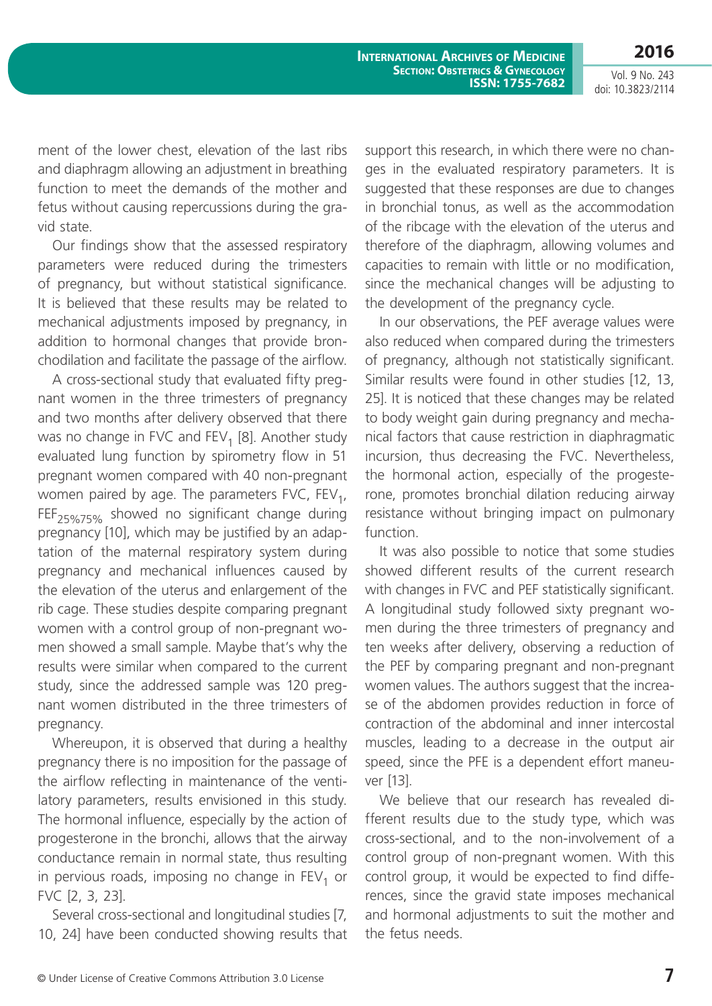**2016** Vol. 9 No. 243

**International Archives of Medicine SECTION: OBSTETRICS & GYNECOLOGY ISSN: 1755-7682**

doi: 10.3823/2114

ment of the lower chest, elevation of the last ribs and diaphragm allowing an adjustment in breathing function to meet the demands of the mother and fetus without causing repercussions during the gravid state.

Our findings show that the assessed respiratory parameters were reduced during the trimesters of pregnancy, but without statistical significance. It is believed that these results may be related to mechanical adjustments imposed by pregnancy, in addition to hormonal changes that provide bronchodilation and facilitate the passage of the airflow.

A cross-sectional study that evaluated fifty pregnant women in the three trimesters of pregnancy and two months after delivery observed that there was no change in FVC and  $FEV<sub>1</sub>$  [8]. Another study evaluated lung function by spirometry flow in 51 pregnant women compared with 40 non-pregnant women paired by age. The parameters FVC,  $FEV<sub>1</sub>$ ,  $FEF_{25\%75\%}$  showed no significant change during pregnancy [10], which may be justified by an adaptation of the maternal respiratory system during pregnancy and mechanical influences caused by the elevation of the uterus and enlargement of the rib cage. These studies despite comparing pregnant women with a control group of non-pregnant women showed a small sample. Maybe that's why the results were similar when compared to the current study, since the addressed sample was 120 pregnant women distributed in the three trimesters of pregnancy.

Whereupon, it is observed that during a healthy pregnancy there is no imposition for the passage of the airflow reflecting in maintenance of the ventilatory parameters, results envisioned in this study. The hormonal influence, especially by the action of progesterone in the bronchi, allows that the airway conductance remain in normal state, thus resulting in pervious roads, imposing no change in  $FEV<sub>1</sub>$  or FVC [2, 3, 23].

Several cross-sectional and longitudinal studies [7, 10, 24] have been conducted showing results that support this research, in which there were no changes in the evaluated respiratory parameters. It is suggested that these responses are due to changes in bronchial tonus, as well as the accommodation of the ribcage with the elevation of the uterus and therefore of the diaphragm, allowing volumes and capacities to remain with little or no modification, since the mechanical changes will be adjusting to the development of the pregnancy cycle.

In our observations, the PEF average values were also reduced when compared during the trimesters of pregnancy, although not statistically significant. Similar results were found in other studies [12, 13, 25]. It is noticed that these changes may be related to body weight gain during pregnancy and mechanical factors that cause restriction in diaphragmatic incursion, thus decreasing the FVC. Nevertheless, the hormonal action, especially of the progesterone, promotes bronchial dilation reducing airway resistance without bringing impact on pulmonary function.

It was also possible to notice that some studies showed different results of the current research with changes in FVC and PEF statistically significant. A longitudinal study followed sixty pregnant women during the three trimesters of pregnancy and ten weeks after delivery, observing a reduction of the PEF by comparing pregnant and non-pregnant women values. The authors suggest that the increase of the abdomen provides reduction in force of contraction of the abdominal and inner intercostal muscles, leading to a decrease in the output air speed, since the PFE is a dependent effort maneuver [13].

We believe that our research has revealed different results due to the study type, which was cross-sectional, and to the non-involvement of a control group of non-pregnant women. With this control group, it would be expected to find differences, since the gravid state imposes mechanical and hormonal adjustments to suit the mother and the fetus needs.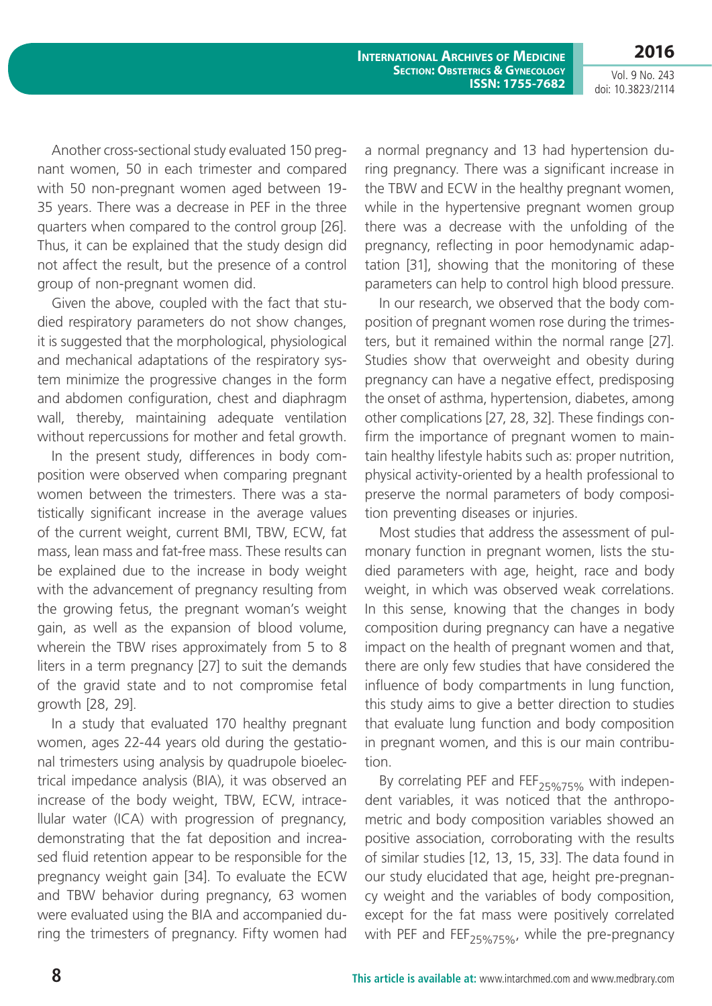**2016**

Another cross-sectional study evaluated 150 pregnant women, 50 in each trimester and compared with 50 non-pregnant women aged between 19- 35 years. There was a decrease in PEF in the three quarters when compared to the control group [26]. Thus, it can be explained that the study design did not affect the result, but the presence of a control group of non-pregnant women did.

Given the above, coupled with the fact that studied respiratory parameters do not show changes, it is suggested that the morphological, physiological and mechanical adaptations of the respiratory system minimize the progressive changes in the form and abdomen configuration, chest and diaphragm wall, thereby, maintaining adequate ventilation without repercussions for mother and fetal growth.

In the present study, differences in body composition were observed when comparing pregnant women between the trimesters. There was a statistically significant increase in the average values of the current weight, current BMI, TBW, ECW, fat mass, lean mass and fat-free mass. These results can be explained due to the increase in body weight with the advancement of pregnancy resulting from the growing fetus, the pregnant woman's weight gain, as well as the expansion of blood volume, wherein the TBW rises approximately from 5 to 8 liters in a term pregnancy [27] to suit the demands of the gravid state and to not compromise fetal growth [28, 29].

In a study that evaluated 170 healthy pregnant women, ages 22-44 years old during the gestational trimesters using analysis by quadrupole bioelectrical impedance analysis (BIA), it was observed an increase of the body weight, TBW, ECW, intracellular water (ICA) with progression of pregnancy, demonstrating that the fat deposition and increased fluid retention appear to be responsible for the pregnancy weight gain [34]. To evaluate the ECW and TBW behavior during pregnancy, 63 women were evaluated using the BIA and accompanied during the trimesters of pregnancy. Fifty women had a normal pregnancy and 13 had hypertension during pregnancy. There was a significant increase in the TBW and ECW in the healthy pregnant women, while in the hypertensive pregnant women group there was a decrease with the unfolding of the pregnancy, reflecting in poor hemodynamic adaptation [31], showing that the monitoring of these parameters can help to control high blood pressure.

In our research, we observed that the body composition of pregnant women rose during the trimesters, but it remained within the normal range [27]. Studies show that overweight and obesity during pregnancy can have a negative effect, predisposing the onset of asthma, hypertension, diabetes, among other complications [27, 28, 32]. These findings confirm the importance of pregnant women to maintain healthy lifestyle habits such as: proper nutrition, physical activity-oriented by a health professional to preserve the normal parameters of body composition preventing diseases or injuries.

Most studies that address the assessment of pulmonary function in pregnant women, lists the studied parameters with age, height, race and body weight, in which was observed weak correlations. In this sense, knowing that the changes in body composition during pregnancy can have a negative impact on the health of pregnant women and that, there are only few studies that have considered the influence of body compartments in lung function, this study aims to give a better direction to studies that evaluate lung function and body composition in pregnant women, and this is our main contribution.

By correlating PEF and  $FEF_{25\%75\%}$  with independent variables, it was noticed that the anthropometric and body composition variables showed an positive association, corroborating with the results of similar studies [12, 13, 15, 33]. The data found in our study elucidated that age, height pre-pregnancy weight and the variables of body composition, except for the fat mass were positively correlated with PEF and FEF<sub>25%75%</sub>, while the pre-pregnancy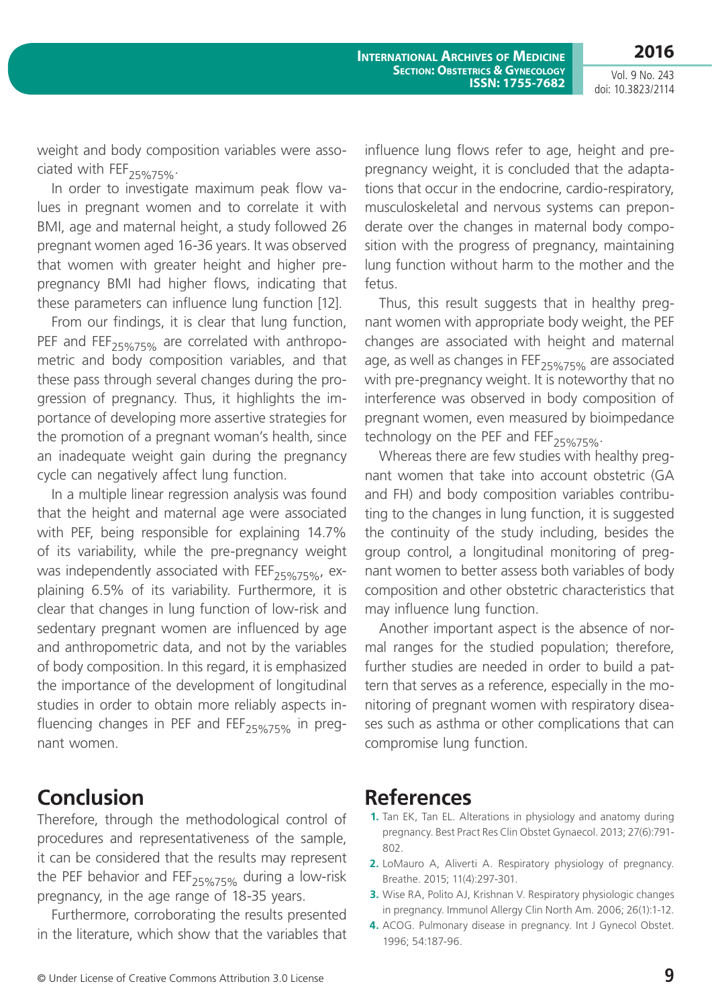**2016**

Vol. 9 No. 243 doi: 10.3823/2114

weight and body composition variables were associated with  $FEF_{25\%75\%}$ .

In order to investigate maximum peak flow values in pregnant women and to correlate it with BMI, age and maternal height, a study followed 26 pregnant women aged 16-36 years. It was observed that women with greater height and higher prepregnancy BMI had higher flows, indicating that these parameters can influence lung function [12].

From our findings, it is clear that lung function, PEF and FEF<sub>25%75%</sub> are correlated with anthropometric and body composition variables, and that these pass through several changes during the progression of pregnancy. Thus, it highlights the importance of developing more assertive strategies for the promotion of a pregnant woman's health, since an inadequate weight gain during the pregnancy cycle can negatively affect lung function.

In a multiple linear regression analysis was found that the height and maternal age were associated with PEF, being responsible for explaining 14.7% of its variability, while the pre-pregnancy weight was independently associated with  $FEF_{25\%75\%}$ , explaining 6.5% of its variability. Furthermore, it is clear that changes in lung function of low-risk and sedentary pregnant women are influenced by age and anthropometric data, and not by the variables of body composition. In this regard, it is emphasized the importance of the development of longitudinal studies in order to obtain more reliably aspects influencing changes in PEF and  $FEF_{25\%75\%}$  in pregnant women.

## **Conclusion**

Therefore, through the methodological control of procedures and representativeness of the sample, it can be considered that the results may represent the PEF behavior and FEF<sub>25%75%</sub> during a low-risk pregnancy, in the age range of 18-35 years.

Furthermore, corroborating the results presented in the literature, which show that the variables that influence lung flows refer to age, height and prepregnancy weight, it is concluded that the adaptations that occur in the endocrine, cardio-respiratory, musculoskeletal and nervous systems can preponderate over the changes in maternal body composition with the progress of pregnancy, maintaining lung function without harm to the mother and the fetus.

Thus, this result suggests that in healthy pregnant women with appropriate body weight, the PEF changes are associated with height and maternal age, as well as changes in FEF<sub>25%75%</sub> are associated with pre-pregnancy weight. It is noteworthy that no interference was observed in body composition of pregnant women, even measured by bioimpedance technology on the PEF and  $FEF_{25\%75\%}$ .

Whereas there are few studies with healthy pregnant women that take into account obstetric (GA and FH) and body composition variables contributing to the changes in lung function, it is suggested the continuity of the study including, besides the group control, a longitudinal monitoring of pregnant women to better assess both variables of body composition and other obstetric characteristics that may influence lung function.

Another important aspect is the absence of normal ranges for the studied population; therefore, further studies are needed in order to build a pattern that serves as a reference, especially in the monitoring of pregnant women with respiratory diseases such as asthma or other complications that can compromise lung function.

### **References**

- **1.** Tan EK, Tan EL. Alterations in physiology and anatomy during pregnancy. Best Pract Res Clin Obstet Gynaecol. 2013; 27(6):791- 802.
- **2.** LoMauro A, Aliverti A. Respiratory physiology of pregnancy. Breathe. 2015; 11(4):297-301.
- **3.** Wise RA, Polito AJ, Krishnan V. Respiratory physiologic changes in pregnancy. Immunol Allergy Clin North Am. 2006; 26(1):1-12.
- **4.** ACOG. Pulmonary disease in pregnancy. Int J Gynecol Obstet. 1996; 54:187-96.